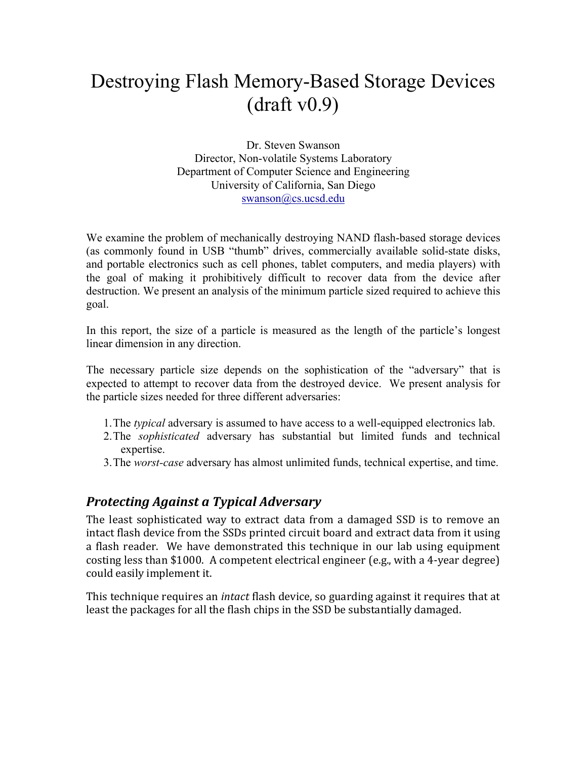# Destroying Flash Memory-Based Storage Devices (draft v0.9)

Dr. Steven Swanson Director, Non-volatile Systems Laboratory Department of Computer Science and Engineering University of California, San Diego swanson@cs.ucsd.edu

We examine the problem of mechanically destroying NAND flash-based storage devices (as commonly found in USB "thumb" drives, commercially available solid-state disks, and portable electronics such as cell phones, tablet computers, and media players) with the goal of making it prohibitively difficult to recover data from the device after destruction. We present an analysis of the minimum particle sized required to achieve this goal.

In this report, the size of a particle is measured as the length of the particle's longest linear dimension in any direction.

The necessary particle size depends on the sophistication of the "adversary" that is expected to attempt to recover data from the destroyed device. We present analysis for the particle sizes needed for three different adversaries:

- 1.The *typical* adversary is assumed to have access to a well-equipped electronics lab.
- 2.The *sophisticated* adversary has substantial but limited funds and technical expertise.
- 3.The *worst-case* adversary has almost unlimited funds, technical expertise, and time.

### *Protecting\*Against\*a\*Typical\*Adversary*

The least sophisticated way to extract data from a damaged SSD is to remove an intact flash device from the SSDs printed circuit board and extract data from it using a flash reader. We have demonstrated this technique in our lab using equipment costing less than \$1000. A competent electrical engineer (e.g., with a 4-year degree) could easily implement it.

This technique requires an *intact* flash device, so guarding against it requires that at least the packages for all the flash chips in the SSD be substantially damaged.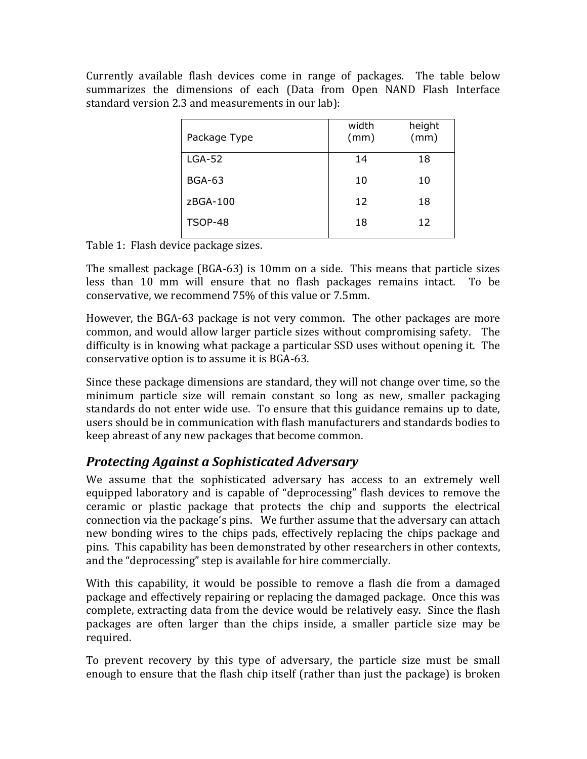Currently available flash devices come in range of packages. The table below summarizes the dimensions of each (Data from Open NAND Flash Interface standard version 2.3 and measurements in our lab):

| Package Type   | width<br>(mm) | height<br>(mm) |
|----------------|---------------|----------------|
| $LGA-52$       | 14            | 18             |
| <b>BGA-63</b>  | 10            | 10             |
| zBGA-100       | 12            | 18             |
| <b>TSOP-48</b> | 18            | 12             |

Table 1: Flash device package sizes.

The smallest package (BGA-63) is 10mm on a side. This means that particle sizes less than  $10 \text{ mm}$  will ensure that no flash packages remains intact. To be conservative, we recommend 75% of this value or 7.5mm.

However, the BGA-63 package is not very common. The other packages are more common, and would allow larger particle sizes without compromising safety. The difficulty is in knowing what package a particular SSD uses without opening it. The conservative option is to assume it is BGA-63.

Since these package dimensions are standard, they will not change over time, so the minimum particle size will remain constant so long as new, smaller packaging standards do not enter wide use. To ensure that this guidance remains up to date, users should be in communication with flash manufacturers and standards bodies to keep abreast of any new packages that become common.

# *Protecting\*Against\*a\*Sophisticated\*Adversary*

We assume that the sophisticated adversary has access to an extremely well equipped laboratory and is capable of "deprocessing" flash devices to remove the ceramic or plastic package that protects the chip and supports the electrical connection via the package's pins. We further assume that the adversary can attach new bonding wires to the chips pads, effectively replacing the chips package and pins. This capability has been demonstrated by other researchers in other contexts, and the "deprocessing" step is available for hire commercially.

With this capability, it would be possible to remove a flash die from a damaged package and effectively repairing or replacing the damaged package. Once this was complete, extracting data from the device would be relatively easy. Since the flash packages are often larger than the chips inside, a smaller particle size may be required.

To prevent recovery by this type of adversary, the particle size must be small enough to ensure that the flash chip itself (rather than just the package) is broken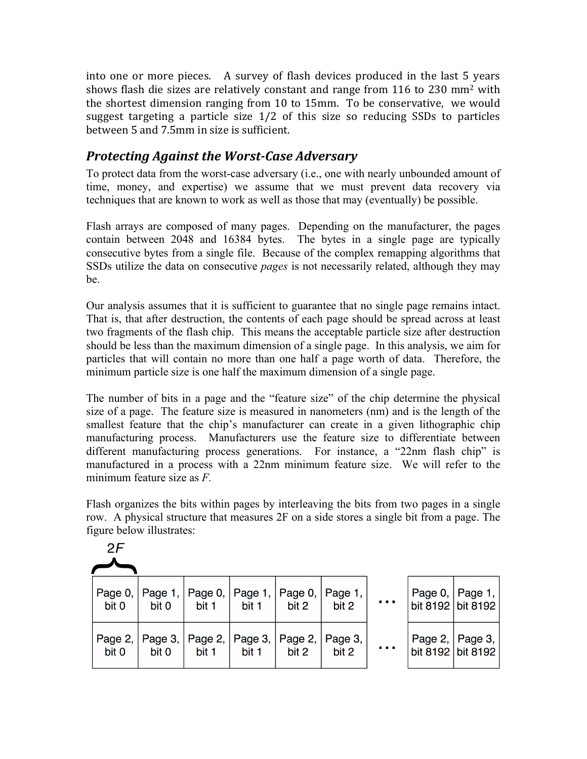into one or more pieces. A survey of flash devices produced in the last 5 years shows flash die sizes are relatively constant and range from  $116$  to 230 mm<sup>2</sup> with the shortest dimension ranging from 10 to 15mm. To be conservative, we would suggest targeting a particle size  $1/2$  of this size so reducing SSDs to particles between 5 and 7.5mm in size is sufficient.

## **Protecting Against the Worst-Case Adversary**

To protect data from the worst-case adversary (i.e., one with nearly unbounded amount of time, money, and expertise) we assume that we must prevent data recovery via techniques that are known to work as well as those that may (eventually) be possible.

Flash arrays are composed of many pages. Depending on the manufacturer, the pages contain between 2048 and 16384 bytes. The bytes in a single page are typically consecutive bytes from a single file. Because of the complex remapping algorithms that SSDs utilize the data on consecutive *pages* is not necessarily related, although they may be.

Our analysis assumes that it is sufficient to guarantee that no single page remains intact. That is, that after destruction, the contents of each page should be spread across at least two fragments of the flash chip. This means the acceptable particle size after destruction should be less than the maximum dimension of a single page. In this analysis, we aim for particles that will contain no more than one half a page worth of data. Therefore, the minimum particle size is one half the maximum dimension of a single page.

The number of bits in a page and the "feature size" of the chip determine the physical size of a page. The feature size is measured in nanometers (nm) and is the length of the smallest feature that the chip's manufacturer can create in a given lithographic chip manufacturing process. Manufacturers use the feature size to differentiate between different manufacturing process generations. For instance, a "22nm flash chip" is manufactured in a process with a 22nm minimum feature size. We will refer to the minimum feature size as *F.* 

Flash organizes the bits within pages by interleaving the bits from two pages in a single row. A physical structure that measures 2F on a side stores a single bit from a page. The figure below illustrates:

 $2F$ 

| bit 0 | bit 0 | bit 1 | bit 1 | $\vert$ bit 2 | Page 0,   Page 1,   Page 0,   Page 1,   Page 0,   Page 1,  <br>bit 2 | $\sim 100$                      | Page 0, $ $ Page 1, $ $<br>bit 8192 bit 8192 |
|-------|-------|-------|-------|---------------|----------------------------------------------------------------------|---------------------------------|----------------------------------------------|
| bit 0 | bit 0 | bit 1 | bit 1 | bit 2         | Page 2,   Page 3,   Page 2,   Page 3,   Page 2,   Page 3,  <br>bit 2 | $\mathbf{r} \cdot \mathbf{r}$ . | Page 2,   Page 3,  <br>bit 8192 bit 8192     |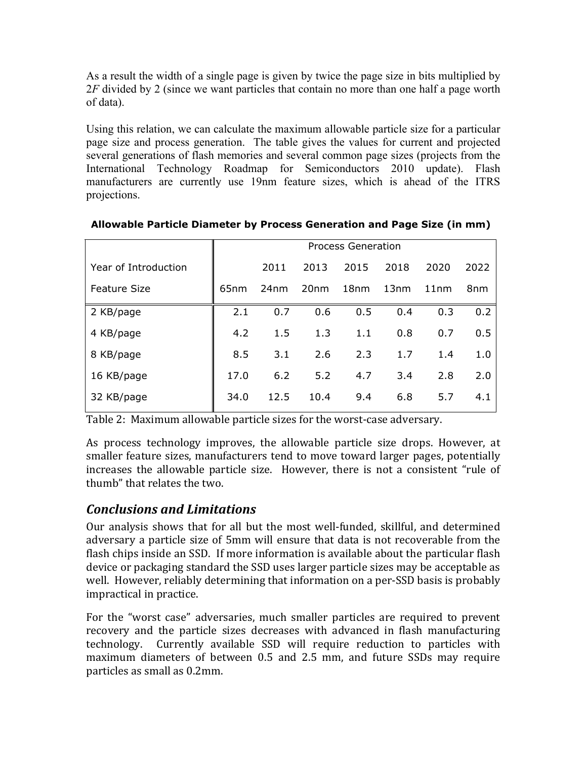As a result the width of a single page is given by twice the page size in bits multiplied by 2*F* divided by 2 (since we want particles that contain no more than one half a page worth of data).

Using this relation, we can calculate the maximum allowable particle size for a particular page size and process generation. The table gives the values for current and projected several generations of flash memories and several common page sizes (projects from the International Technology Roadmap for Semiconductors 2010 update). Flash manufacturers are currently use 19nm feature sizes, which is ahead of the ITRS projections.

|                      | <b>Process Generation</b> |      |                  |                  |      |      |      |
|----------------------|---------------------------|------|------------------|------------------|------|------|------|
| Year of Introduction |                           | 2011 | 2013             | 2015             | 2018 | 2020 | 2022 |
| <b>Feature Size</b>  | 65 <sub>nm</sub>          | 24nm | 20 <sub>nm</sub> | 18 <sub>nm</sub> | 13nm | 11nm | 8nm  |
| 2 KB/page            | 2.1                       | 0.7  | 0.6              | 0.5              | 0.4  | 0.3  | 0.2  |
| 4 KB/page            | 4.2                       | 1.5  | 1.3              | 1.1              | 0.8  | 0.7  | 0.5  |
| 8 KB/page            | 8.5                       | 3.1  | 2.6              | 2.3              | 1.7  | 1.4  | 1.0  |
| 16 KB/page           | 17.0                      | 6.2  | 5.2              | 4.7              | 3.4  | 2.8  | 2.0  |
| 32 KB/page           | 34.0                      | 12.5 | 10.4             | 9.4              | 6.8  | 5.7  | 4.1  |

#### **Allowable Particle Diameter by Process Generation and Page Size (in mm)**

Table 2: Maximum allowable particle sizes for the worst-case adversary.

As process technology improves, the allowable particle size drops. However, at smaller feature sizes, manufacturers tend to move toward larger pages, potentially increases the allowable particle size. However, there is not a consistent "rule of thumb" that relates the two.

### *Conclusions\*and\*Limitations*

Our analysis shows that for all but the most well-funded, skillful, and determined adversary a particle size of 5mm will ensure that data is not recoverable from the flash chips inside an SSD. If more information is available about the particular flash device or packaging standard the SSD uses larger particle sizes may be acceptable as well. However, reliably determining that information on a per-SSD basis is probably impractical in practice.

For the "worst case" adversaries, much smaller particles are required to prevent recovery and the particle sizes decreases with advanced in flash manufacturing technology. Currently available SSD will require reduction to particles with maximum diameters of between  $0.5$  and  $2.5$  mm, and future SSDs may require particles as small as 0.2mm.